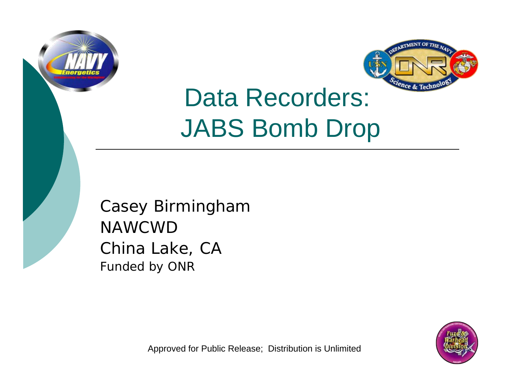



# Data Recorders: JABS Bomb Drop

Casey Birmingham NAWCWDChina Lake, CA Funded by ONR



Approved for Public Release; Distribution is Unlimited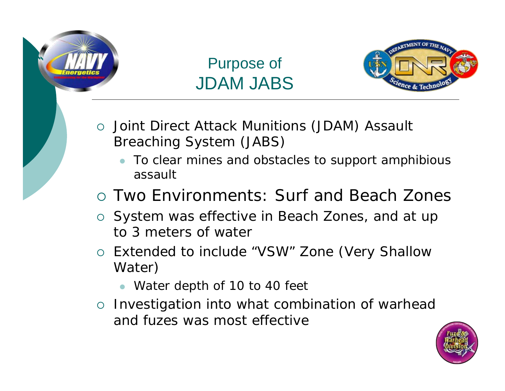

## Purpose of JDAM JABS



- { Joint Direct Attack Munitions (JDAM) Assault Breaching System (JABS)
	- $\bullet$  To clear mines and obstacles to support amphibious assault
- { Two Environments: Surf and Beach Zones
- o System was effective in Beach Zones, and at up to 3 meters of water
- o Extended to include "VSW" Zone (Very Shallow Water)
	- Water depth of 10 to 40 feet
- o Investigation into what combination of warhead and fuzes was most effective

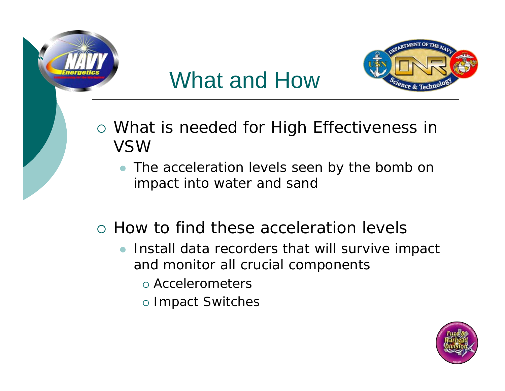

## What and How



- { What is needed for High Effectiveness in VSW
	- The acceleration levels seen by the bomb on impact into water and sand
- { How to find these acceleration levels
	- $\bullet$  Install data recorders that will survive impact and monitor all crucial components
		- { Accelerometers
		- o Impact Switches

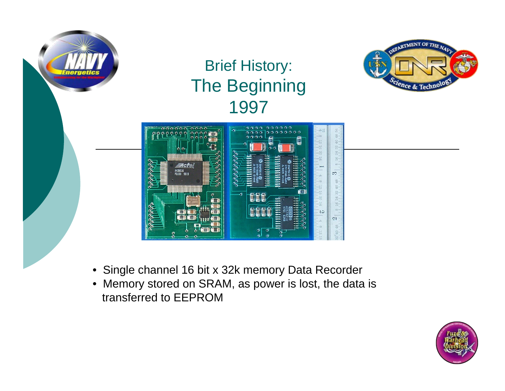

## Brief History: The Beginning 1997





- Single channel 16 bit x 32k memory Data Recorder
- Memory stored on SRAM, as power is lost, the data is transferred to EEPROM

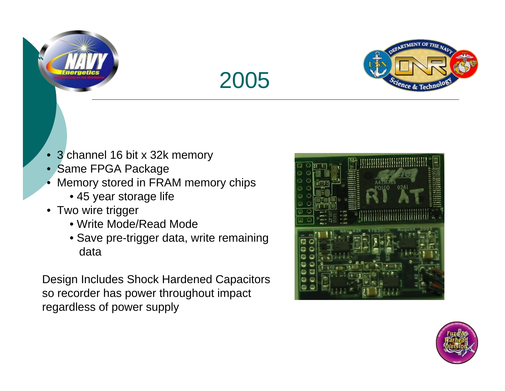





- •3 channel 16 bit x 32k memory
- Same FPGA Package
- • Memory stored in FRAM memory chips
	- 45 year storage life
- Two wire trigger
	- Write Mode/Read Mode
	- Save pre-trigger data, write remaining data

Design Includes Shock Hardened Capacitors so recorder has power throughout impact regardless of power supply



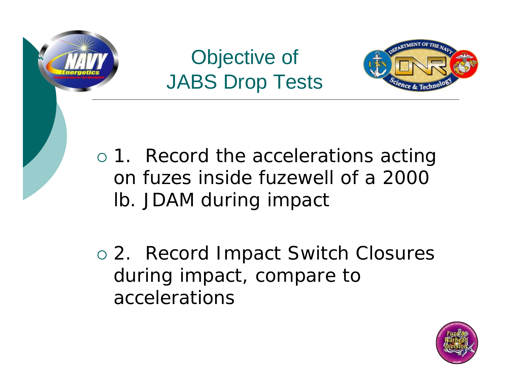

## Objective of JABS Drop Tests



o 1. Record the accelerations acting on fuzes inside fuzewell of a 2000 lb. JDAM during impact

o 2. Record Impact Switch Closures during impact, compare to accelerations

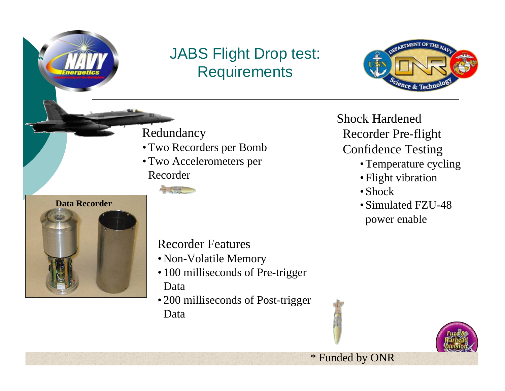## JABS Flight Drop test: **Requirements**



Redundancy

- Two Recorders per Bomb
- Two Accelerometers per Recorder



Shock Hardened Recorder Pre-flight Confidence Testing

- Temperature cycling
- Flight vibration
- Shock
- Simulated FZU-48 power enable



#### Recorder Features

- Non-Volatile Memory
- 100 milliseconds of Pre-trigger Data
- 200 milliseconds of Post-trigger Data



\* Funded by ONR

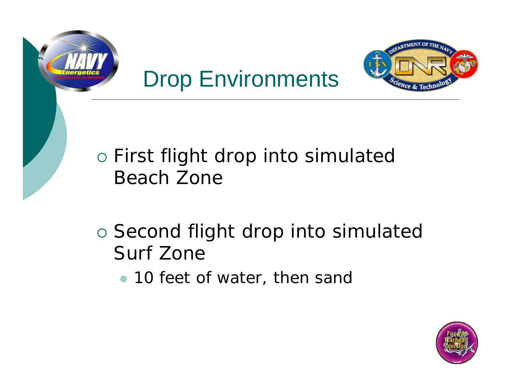





## { First flight drop into simulated Beach Zone

- o Second flight drop into simulated Surf Zone
	- 10 feet of water, then sand

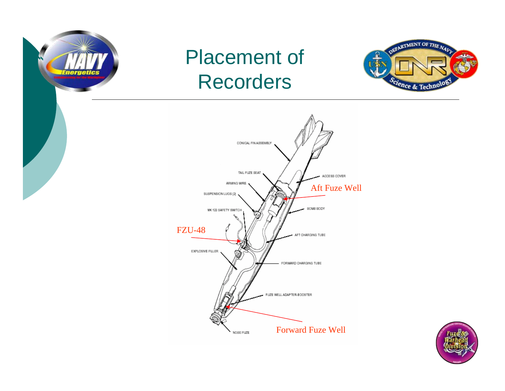

## Placement of Recorders





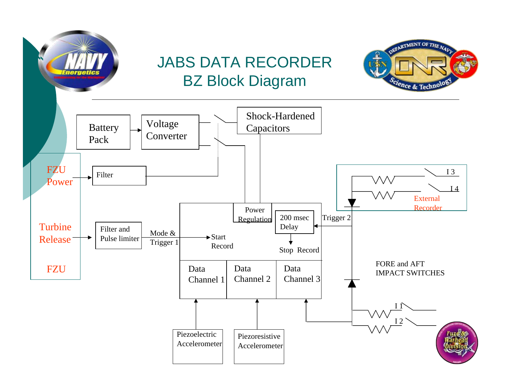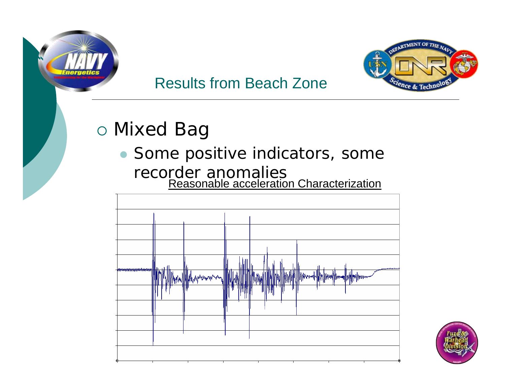



### Results from Beach Zone

## { Mixed Bag

## • Some positive indicators, some recorder anomalies Reasonable acceleration Characterization



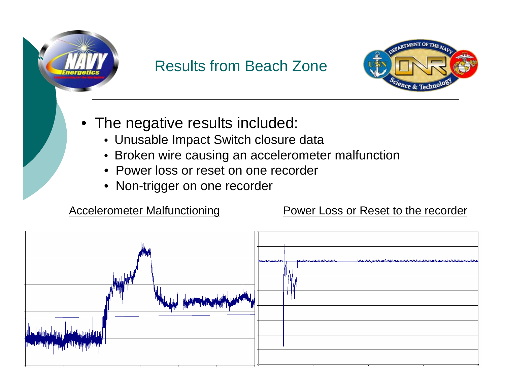

## Results from Beach Zone



- The negative results included:
	- Unusable Impact Switch closure data
	- Broken wire causing an accelerometer malfunction
	- Power loss or reset on one recorder
	- Non-trigger on one recorder

#### Accelerometer Malfunctioning Power Loss or Reset to the recorder

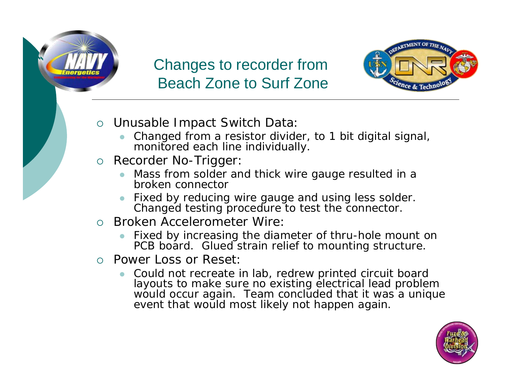

#### Changes to recorder from Beach Zone to Surf Zone



- { Unusable Impact Switch Data:
	- z Changed from a resistor divider, to 1 bit digital signal, monitored each line individually.
- o Recorder No-Trigger:
	- z Mass from solder and thick wire gauge resulted in a broken connector
	- z Fixed by reducing wire gauge and using less solder. Changed testing procedure to test the connector.
- { Broken Accelerometer Wire:
	- z Fixed by increasing the diameter of thru-hole mount on PCB board. Glued strain relief to mounting structure.
- o Power Loss or Reset:
	- z Could not recreate in lab, redrew printed circuit board layouts to make sure no existing electrical lead problem would occur again. Team concluded that it was a unique event that would most likely not happen again.

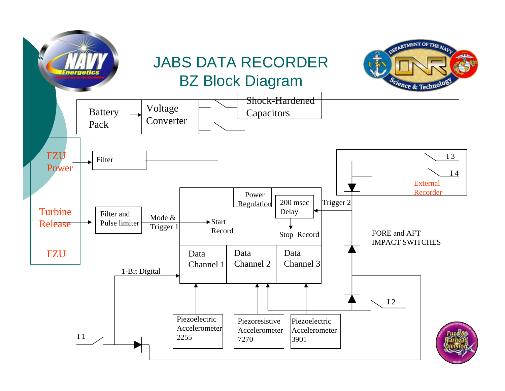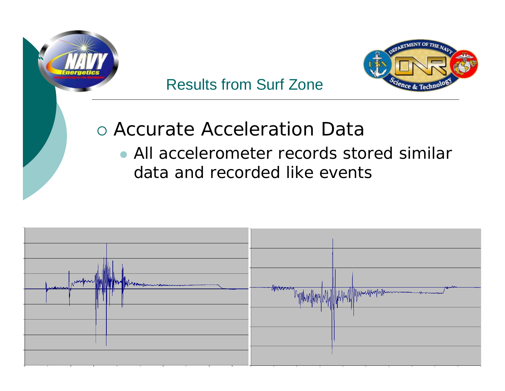

## Results from Surf Zone



## { Accurate Acceleration Data • All accelerometer records stored similar data and recorded like events

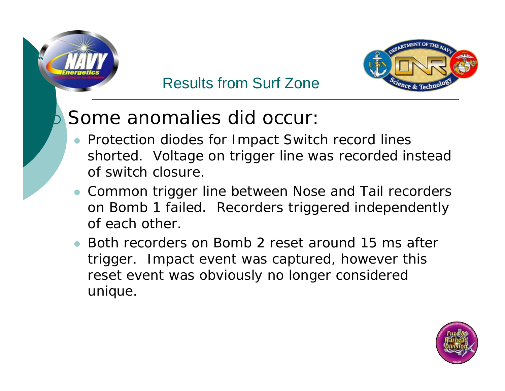

### Results from Surf Zone



#### ${\bm D}$ Some anomalies did occur:

- Protection diodes for Impact Switch record lines shorted. Voltage on trigger line was recorded instead of switch closure.
- Common trigger line between Nose and Tail recorders on Bomb 1 failed. Recorders triggered independently of each other.
- Both recorders on Bomb 2 reset around 15 ms after trigger. Impact event was captured, however this reset event was obviously no longer considered unique.